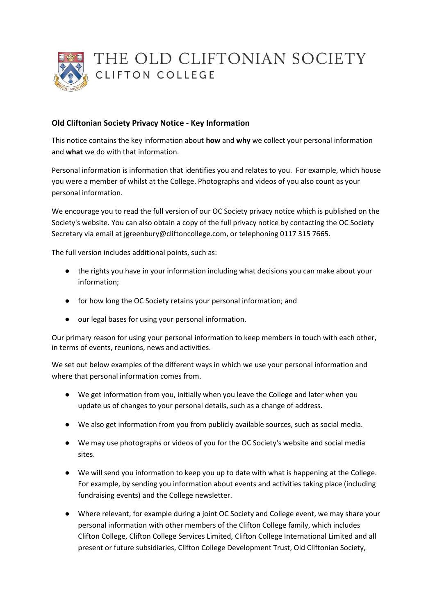

## **Old Cliftonian Society Privacy Notice - Key Information**

This notice contains the key information about **how** and **why** we collect your personal information and **what** we do with that information.

Personal information is information that identifies you and relates to you. For example, which house you were a member of whilst at the College. Photographs and videos of you also count as your personal information.

We encourage you to read the full version of our OC Society privacy notice which is published on the Society's website. You can also obtain a copy of the full privacy notice by contacting the OC Society Secretary via email at jgreenbury@cliftoncollege.com, or telephoning 0117 315 7665.

The full version includes additional points, such as:

- the rights you have in your information including what decisions you can make about your information;
- for how long the OC Society retains your personal information; and
- our legal bases for using your personal information.

Our primary reason for using your personal information to keep members in touch with each other, in terms of events, reunions, news and activities.

We set out below examples of the different ways in which we use your personal information and where that personal information comes from.

- We get information from you, initially when you leave the College and later when you update us of changes to your personal details, such as a change of address.
- We also get information from you from publicly available sources, such as social media.
- We may use photographs or videos of you for the OC Society's website and social media sites.
- We will send you information to keep you up to date with what is happening at the College. For example, by sending you information about events and activities taking place (including fundraising events) and the College newsletter.
- Where relevant, for example during a joint OC Society and College event, we may share your personal information with other members of the Clifton College family, which includes Clifton College, Clifton College Services Limited, Clifton College International Limited and all present or future subsidiaries, Clifton College Development Trust, Old Cliftonian Society,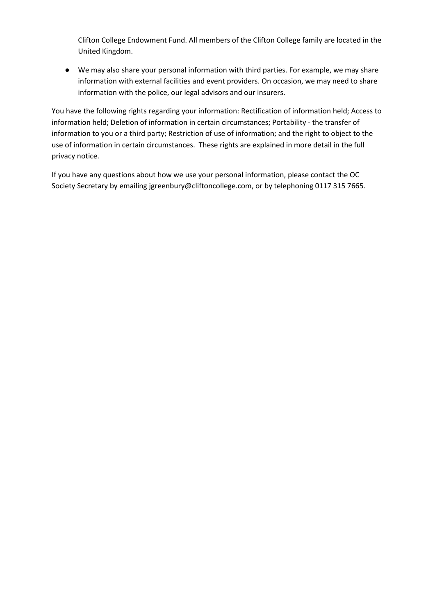Clifton College Endowment Fund. All members of the Clifton College family are located in the United Kingdom.

● We may also share your personal information with third parties. For example, we may share information with external facilities and event providers. On occasion, we may need to share information with the police, our legal advisors and our insurers.

You have the following rights regarding your information: Rectification of information held; Access to information held; Deletion of information in certain circumstances; Portability - the transfer of information to you or a third party; Restriction of use of information; and the right to object to the use of information in certain circumstances. These rights are explained in more detail in the full privacy notice.

If you have any questions about how we use your personal information, please contact the OC Society Secretary by emailing jgreenbury@cliftoncollege.com, or by telephoning 0117 315 7665.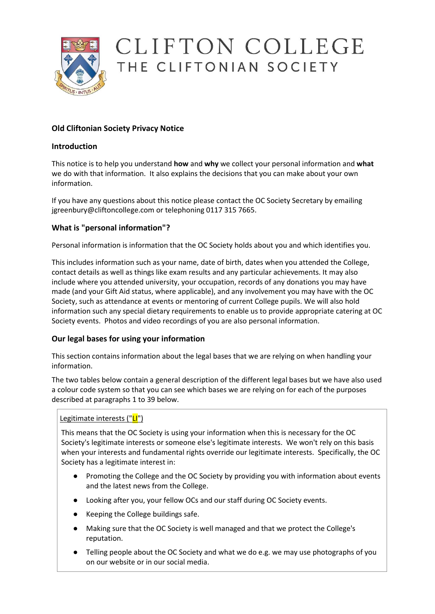

# CLIFTON COLLEGE THE CLIFTONIAN SOCIETY

# **Old Cliftonian Society Privacy Notice**

## **Introduction**

This notice is to help you understand **how** and **why** we collect your personal information and **what** we do with that information. It also explains the decisions that you can make about your own information.

If you have any questions about this notice please contact the OC Society Secretary by emailing jgreenbury@cliftoncollege.com or telephoning 0117 315 7665.

# **What is "personal information"?**

Personal information is information that the OC Society holds about you and which identifies you.

This includes information such as your name, date of birth, dates when you attended the College, contact details as well as things like exam results and any particular achievements. It may also include where you attended university, your occupation, records of any donations you may have made (and your Gift Aid status, where applicable), and any involvement you may have with the OC Society, such as attendance at events or mentoring of current College pupils. We will also hold information such any special dietary requirements to enable us to provide appropriate catering at OC Society events. Photos and video recordings of you are also personal information.

#### **Our legal bases for using your information**

This section contains information about the legal bases that we are relying on when handling your information.

The two tables below contain a general description of the different legal bases but we have also used a colour code system so that you can see which bases we are relying on for each of the purposes described at paragraphs 1 to 39 below.

#### Legitimate interests ("LI")

This means that the OC Society is using your information when this is necessary for the OC Society's legitimate interests or someone else's legitimate interests. We won't rely on this basis when your interests and fundamental rights override our legitimate interests. Specifically, the OC Society has a legitimate interest in:

- Promoting the College and the OC Society by providing you with information about events and the latest news from the College.
- Looking after you, your fellow OCs and our staff during OC Society events.
- Keeping the College buildings safe.
- Making sure that the OC Society is well managed and that we protect the College's reputation.
- Telling people about the OC Society and what we do e.g. we may use photographs of you on our website or in our social media.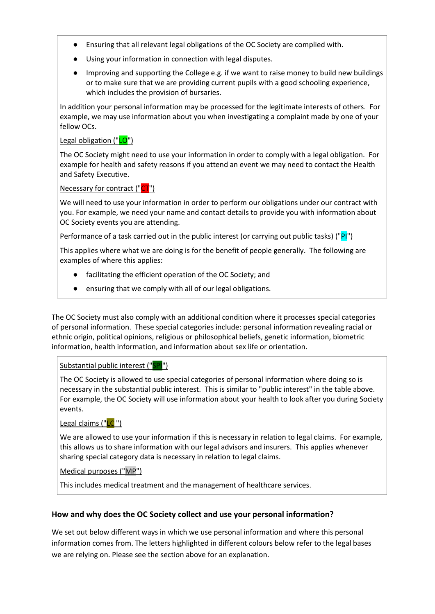- Ensuring that all relevant legal obligations of the OC Society are complied with.
- Using your information in connection with legal disputes.
- Improving and supporting the College e.g. if we want to raise money to build new buildings or to make sure that we are providing current pupils with a good schooling experience, which includes the provision of bursaries.

In addition your personal information may be processed for the legitimate interests of others. For example, we may use information about you when investigating a complaint made by one of your fellow OCs.

#### Legal obligation ("LO")

The OC Society might need to use your information in order to comply with a legal obligation. For example for health and safety reasons if you attend an event we may need to contact the Health and Safety Executive.

#### Necessary for contract ("CT")

We will need to use your information in order to perform our obligations under our contract with you. For example, we need your name and contact details to provide you with information about OC Society events you are attending.

Performance of a task carried out in the public interest (or carrying out public tasks) ("PI")

This applies where what we are doing is for the benefit of people generally. The following are examples of where this applies:

- facilitating the efficient operation of the OC Society; and
- ensuring that we comply with all of our legal obligations.

The OC Society must also comply with an additional condition where it processes special categories of personal information. These special categories include: personal information revealing racial or ethnic origin, political opinions, religious or philosophical beliefs, genetic information, biometric information, health information, and information about sex life or orientation.

#### Substantial public interest ("SPI")

The OC Society is allowed to use special categories of personal information where doing so is necessary in the substantial public interest. This is similar to "public interest" in the table above. For example, the OC Society will use information about your health to look after you during Society events.

#### Legal claims ("LC")

We are allowed to use your information if this is necessary in relation to legal claims. For example, this allows us to share information with our legal advisors and insurers. This applies whenever sharing special category data is necessary in relation to legal claims.

#### Medical purposes ("MP")

This includes medical treatment and the management of healthcare services.

#### **How and why does the OC Society collect and use your personal information?**

We set out below different ways in which we use personal information and where this personal information comes from. The letters highlighted in different colours below refer to the legal bases we are relying on. Please see the section above for an explanation.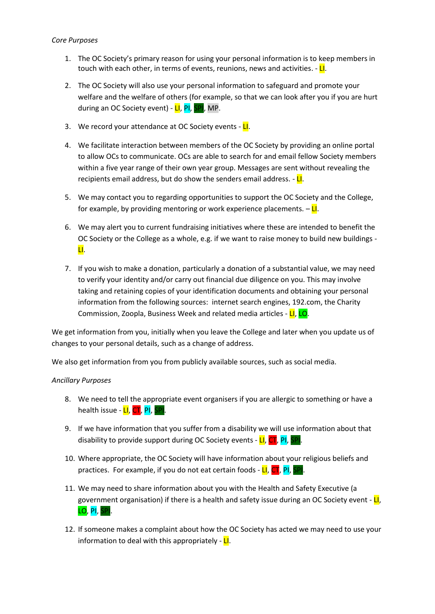- 1. The OC Society's primary reason for using your personal information is to keep members in touch with each other, in terms of events, reunions, news and activities.  $-L$ .
- 2. The OC Society will also use your personal information to safeguard and promote your welfare and the welfare of others (for example, so that we can look after you if you are hurt during an OC Society event) - LI, PI, SPI, MP.
- 3. We record your attendance at OC Society events LI.
- 4. We facilitate interaction between members of the OC Society by providing an online portal to allow OCs to communicate. OCs are able to search for and email fellow Society members within a five year range of their own year group. Messages are sent without revealing the recipients email address, but do show the senders email address.  $-L$ .
- 5. We may contact you to regarding opportunities to support the OC Society and the College, for example, by providing mentoring or work experience placements.  $-\mathbf{L}$ .
- 6. We may alert you to current fundraising initiatives where these are intended to benefit the OC Society or the College as a whole, e.g. if we want to raise money to build new buildings - LI.
- 7. If you wish to make a donation, particularly a donation of a substantial value, we may need to verify your identity and/or carry out financial due diligence on you. This may involve taking and retaining copies of your identification documents and obtaining your personal information from the following sources: internet search engines, 192.com, the Charity Commission, Zoopla, Business Week and related media articles - LI, LO.

We get information from you, initially when you leave the College and later when you update us of changes to your personal details, such as a change of address.

We also get information from you from publicly available sources, such as social media.

#### *Ancillary Purposes*

- 8. We need to tell the appropriate event organisers if you are allergic to something or have a health issue - LI, CT, PI, SPI.
- 9. If we have information that you suffer from a disability we will use information about that disability to provide support during OC Society events - LI, CT, PI, SPI.
- 10. Where appropriate, the OC Society will have information about your religious beliefs and practices. For example, if you do not eat certain foods - LI, CT, PI,
- 11. We may need to share information about you with the Health and Safety Executive (a government organisation) if there is a health and safety issue during an OC Society event -  $LI$ , LO, PI, SPI.
- 12. If someone makes a complaint about how the OC Society has acted we may need to use your information to deal with this appropriately -  $LI$ .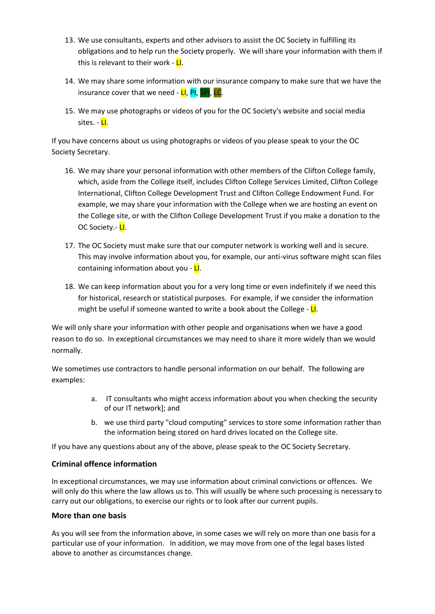- 13. We use consultants, experts and other advisors to assist the OC Society in fulfilling its obligations and to help run the Society properly. We will share your information with them if this is relevant to their work - LI.
- 14. We may share some information with our insurance company to make sure that we have the insurance cover that we need - LI, PI, SPI, LC.
- 15. We may use photographs or videos of you for the OC Society's website and social media sites. - <mark>LI</mark>.

If you have concerns about us using photographs or videos of you please speak to your the OC Society Secretary.

- 16. We may share your personal information with other members of the Clifton College family, which, aside from the College itself, includes Clifton College Services Limited, Clifton College International, Clifton College Development Trust and Clifton College Endowment Fund. For example, we may share your information with the College when we are hosting an event on the College site, or with the Clifton College Development Trust if you make a donation to the OC Society.- LI.
- 17. The OC Society must make sure that our computer network is working well and is secure. This may involve information about you, for example, our anti-virus software might scan files containing information about you - LI.
- 18. We can keep information about you for a very long time or even indefinitely if we need this for historical, research or statistical purposes. For example, if we consider the information might be useful if someone wanted to write a book about the College - LI.

We will only share your information with other people and organisations when we have a good reason to do so. In exceptional circumstances we may need to share it more widely than we would normally.

We sometimes use contractors to handle personal information on our behalf. The following are examples:

- a. IT consultants who might access information about you when checking the security of our IT network]; and
- b. we use third party "cloud computing" services to store some information rather than the information being stored on hard drives located on the College site.

If you have any questions about any of the above, please speak to the OC Society Secretary.

#### **Criminal offence information**

In exceptional circumstances, we may use information about criminal convictions or offences. We will only do this where the law allows us to. This will usually be where such processing is necessary to carry out our obligations, to exercise our rights or to look after our current pupils.

#### **More than one basis**

As you will see from the information above, in some cases we will rely on more than one basis for a particular use of your information. In addition, we may move from one of the legal bases listed above to another as circumstances change.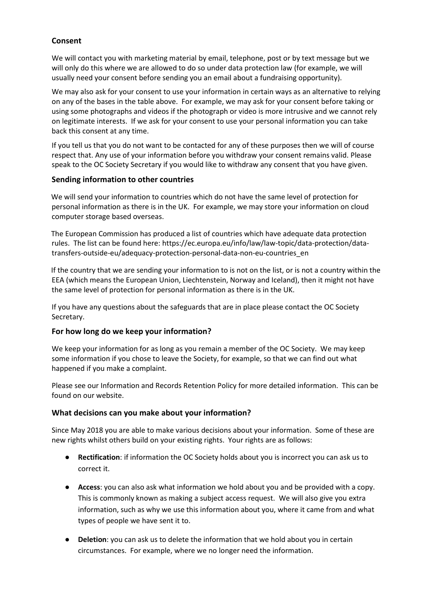## **Consent**

We will contact you with marketing material by email, telephone, post or by text message but we will only do this where we are allowed to do so under data protection law (for example, we will usually need your consent before sending you an email about a fundraising opportunity).

We may also ask for your consent to use your information in certain ways as an alternative to relying on any of the bases in the table above. For example, we may ask for your consent before taking or using some photographs and videos if the photograph or video is more intrusive and we cannot rely on legitimate interests. If we ask for your consent to use your personal information you can take back this consent at any time.

If you tell us that you do not want to be contacted for any of these purposes then we will of course respect that. Any use of your information before you withdraw your consent remains valid. Please speak to the OC Society Secretary if you would like to withdraw any consent that you have given.

#### **Sending information to other countries**

We will send your information to countries which do not have the same level of protection for personal information as there is in the UK. For example, we may store your information on cloud computer storage based overseas.

The European Commission has produced a list of countries which have adequate data protection rules. The list can be found here: https://ec.europa.eu/info/law/law-topic/data-protection/datatransfers-outside-eu/adequacy-protection-personal-data-non-eu-countries\_en

If the country that we are sending your information to is not on the list, or is not a country within the EEA (which means the European Union, Liechtenstein, Norway and Iceland), then it might not have the same level of protection for personal information as there is in the UK.

If you have any questions about the safeguards that are in place please contact the OC Society Secretary.

#### **For how long do we keep your information?**

We keep your information for as long as you remain a member of the OC Society. We may keep some information if you chose to leave the Society, for example, so that we can find out what happened if you make a complaint.

Please see our Information and Records Retention Policy for more detailed information. This can be found on our website.

#### **What decisions can you make about your information?**

Since May 2018 you are able to make various decisions about your information. Some of these are new rights whilst others build on your existing rights. Your rights are as follows:

- **Rectification**: if information the OC Society holds about you is incorrect you can ask us to correct it.
- **Access**: you can also ask what information we hold about you and be provided with a copy. This is commonly known as making a subject access request. We will also give you extra information, such as why we use this information about you, where it came from and what types of people we have sent it to.
- **Deletion**: you can ask us to delete the information that we hold about you in certain circumstances. For example, where we no longer need the information.